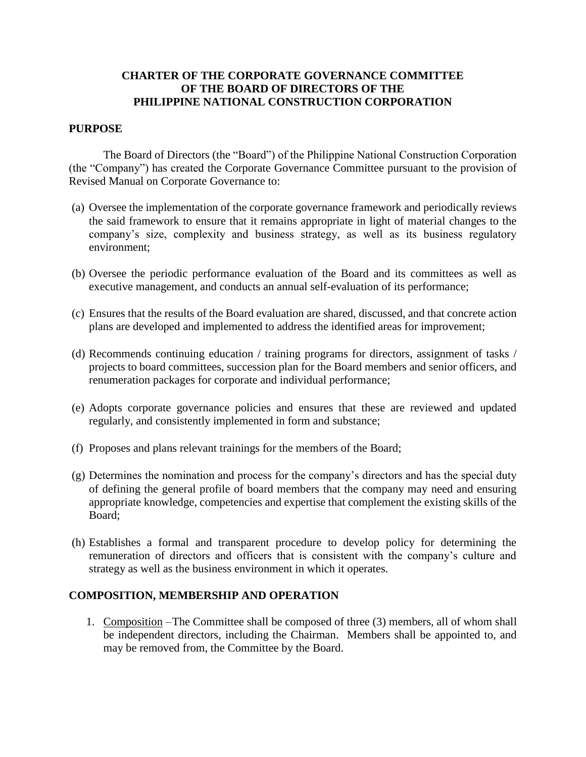## **CHARTER OF THE CORPORATE GOVERNANCE COMMITTEE OF THE BOARD OF DIRECTORS OF THE PHILIPPINE NATIONAL CONSTRUCTION CORPORATION**

### **PURPOSE**

The Board of Directors (the "Board") of the Philippine National Construction Corporation (the "Company") has created the Corporate Governance Committee pursuant to the provision of Revised Manual on Corporate Governance to:

- (a) Oversee the implementation of the corporate governance framework and periodically reviews the said framework to ensure that it remains appropriate in light of material changes to the company's size, complexity and business strategy, as well as its business regulatory environment;
- (b) Oversee the periodic performance evaluation of the Board and its committees as well as executive management, and conducts an annual self-evaluation of its performance;
- (c) Ensures that the results of the Board evaluation are shared, discussed, and that concrete action plans are developed and implemented to address the identified areas for improvement;
- (d) Recommends continuing education / training programs for directors, assignment of tasks / projects to board committees, succession plan for the Board members and senior officers, and renumeration packages for corporate and individual performance;
- (e) Adopts corporate governance policies and ensures that these are reviewed and updated regularly, and consistently implemented in form and substance;
- (f) Proposes and plans relevant trainings for the members of the Board;
- (g) Determines the nomination and process for the company's directors and has the special duty of defining the general profile of board members that the company may need and ensuring appropriate knowledge, competencies and expertise that complement the existing skills of the Board;
- (h) Establishes a formal and transparent procedure to develop policy for determining the remuneration of directors and officers that is consistent with the company's culture and strategy as well as the business environment in which it operates.

### **COMPOSITION, MEMBERSHIP AND OPERATION**

1. Composition –The Committee shall be composed of three (3) members, all of whom shall be independent directors, including the Chairman. Members shall be appointed to, and may be removed from, the Committee by the Board.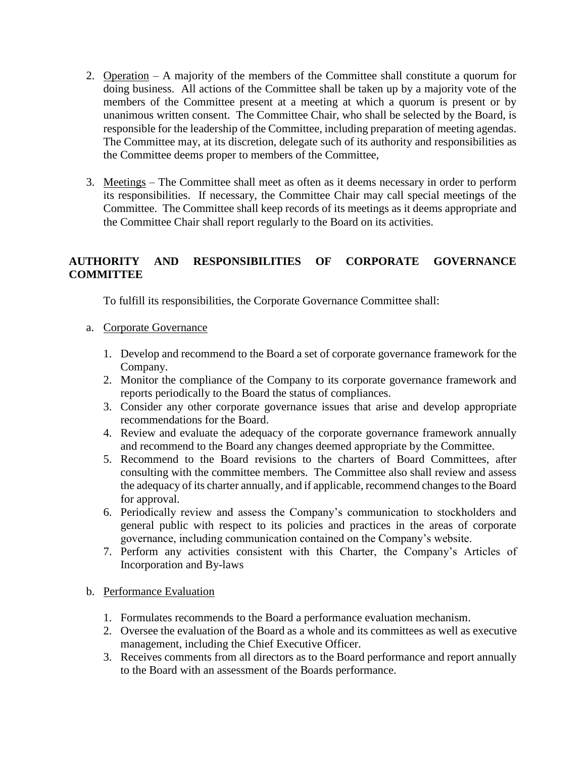- 2. Operation A majority of the members of the Committee shall constitute a quorum for doing business. All actions of the Committee shall be taken up by a majority vote of the members of the Committee present at a meeting at which a quorum is present or by unanimous written consent. The Committee Chair, who shall be selected by the Board, is responsible for the leadership of the Committee, including preparation of meeting agendas. The Committee may, at its discretion, delegate such of its authority and responsibilities as the Committee deems proper to members of the Committee,
- 3. Meetings The Committee shall meet as often as it deems necessary in order to perform its responsibilities. If necessary, the Committee Chair may call special meetings of the Committee. The Committee shall keep records of its meetings as it deems appropriate and the Committee Chair shall report regularly to the Board on its activities.

# **AUTHORITY AND RESPONSIBILITIES OF CORPORATE GOVERNANCE COMMITTEE**

To fulfill its responsibilities, the Corporate Governance Committee shall:

- a. Corporate Governance
	- 1. Develop and recommend to the Board a set of corporate governance framework for the Company.
	- 2. Monitor the compliance of the Company to its corporate governance framework and reports periodically to the Board the status of compliances.
	- 3. Consider any other corporate governance issues that arise and develop appropriate recommendations for the Board.
	- 4. Review and evaluate the adequacy of the corporate governance framework annually and recommend to the Board any changes deemed appropriate by the Committee.
	- 5. Recommend to the Board revisions to the charters of Board Committees, after consulting with the committee members. The Committee also shall review and assess the adequacy of its charter annually, and if applicable, recommend changes to the Board for approval.
	- 6. Periodically review and assess the Company's communication to stockholders and general public with respect to its policies and practices in the areas of corporate governance, including communication contained on the Company's website.
	- 7. Perform any activities consistent with this Charter, the Company's Articles of Incorporation and By-laws

### b. Performance Evaluation

- 1. Formulates recommends to the Board a performance evaluation mechanism.
- 2. Oversee the evaluation of the Board as a whole and its committees as well as executive management, including the Chief Executive Officer.
- 3. Receives comments from all directors as to the Board performance and report annually to the Board with an assessment of the Boards performance.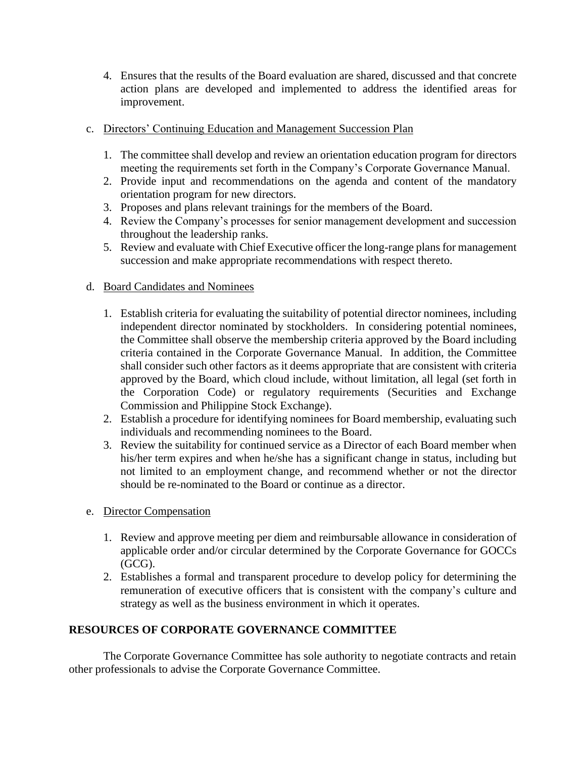- 4. Ensures that the results of the Board evaluation are shared, discussed and that concrete action plans are developed and implemented to address the identified areas for improvement.
- c. Directors' Continuing Education and Management Succession Plan
	- 1. The committee shall develop and review an orientation education program for directors meeting the requirements set forth in the Company's Corporate Governance Manual.
	- 2. Provide input and recommendations on the agenda and content of the mandatory orientation program for new directors.
	- 3. Proposes and plans relevant trainings for the members of the Board.
	- 4. Review the Company's processes for senior management development and succession throughout the leadership ranks.
	- 5. Review and evaluate with Chief Executive officer the long-range plans for management succession and make appropriate recommendations with respect thereto.

# d. Board Candidates and Nominees

- 1. Establish criteria for evaluating the suitability of potential director nominees, including independent director nominated by stockholders. In considering potential nominees, the Committee shall observe the membership criteria approved by the Board including criteria contained in the Corporate Governance Manual. In addition, the Committee shall consider such other factors as it deems appropriate that are consistent with criteria approved by the Board, which cloud include, without limitation, all legal (set forth in the Corporation Code) or regulatory requirements (Securities and Exchange Commission and Philippine Stock Exchange).
- 2. Establish a procedure for identifying nominees for Board membership, evaluating such individuals and recommending nominees to the Board.
- 3. Review the suitability for continued service as a Director of each Board member when his/her term expires and when he/she has a significant change in status, including but not limited to an employment change, and recommend whether or not the director should be re-nominated to the Board or continue as a director.
- e. Director Compensation
	- 1. Review and approve meeting per diem and reimbursable allowance in consideration of applicable order and/or circular determined by the Corporate Governance for GOCCs (GCG).
	- 2. Establishes a formal and transparent procedure to develop policy for determining the remuneration of executive officers that is consistent with the company's culture and strategy as well as the business environment in which it operates.

# **RESOURCES OF CORPORATE GOVERNANCE COMMITTEE**

The Corporate Governance Committee has sole authority to negotiate contracts and retain other professionals to advise the Corporate Governance Committee.